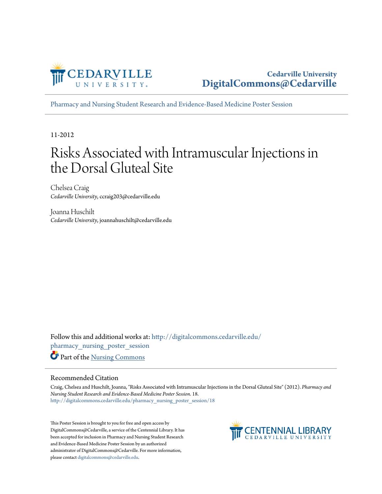

[Pharmacy and Nursing Student Research and Evidence-Based Medicine Poster Session](http://digitalcommons.cedarville.edu/pharmacy_nursing_poster_session?utm_source=digitalcommons.cedarville.edu%2Fpharmacy_nursing_poster_session%2F18&utm_medium=PDF&utm_campaign=PDFCoverPages)

11-2012

#### Risks Associated with Intramuscular Injections in the Dorsal Gluteal Site

Chelsea Craig *Cedarville University*, ccraig203@cedarville.edu

Joanna Huschilt *Cedarville University*, joannahuschilt@cedarville.edu

Follow this and additional works at: [http://digitalcommons.cedarville.edu/](http://digitalcommons.cedarville.edu/pharmacy_nursing_poster_session?utm_source=digitalcommons.cedarville.edu%2Fpharmacy_nursing_poster_session%2F18&utm_medium=PDF&utm_campaign=PDFCoverPages) [pharmacy\\_nursing\\_poster\\_session](http://digitalcommons.cedarville.edu/pharmacy_nursing_poster_session?utm_source=digitalcommons.cedarville.edu%2Fpharmacy_nursing_poster_session%2F18&utm_medium=PDF&utm_campaign=PDFCoverPages) Part of the [Nursing Commons](http://network.bepress.com/hgg/discipline/718?utm_source=digitalcommons.cedarville.edu%2Fpharmacy_nursing_poster_session%2F18&utm_medium=PDF&utm_campaign=PDFCoverPages)

#### Recommended Citation

Craig, Chelsea and Huschilt, Joanna, "Risks Associated with Intramuscular Injections in the Dorsal Gluteal Site" (2012). *Pharmacy and Nursing Student Research and Evidence-Based Medicine Poster Session*. 18. [http://digitalcommons.cedarville.edu/pharmacy\\_nursing\\_poster\\_session/18](http://digitalcommons.cedarville.edu/pharmacy_nursing_poster_session/18?utm_source=digitalcommons.cedarville.edu%2Fpharmacy_nursing_poster_session%2F18&utm_medium=PDF&utm_campaign=PDFCoverPages)

This Poster Session is brought to you for free and open access by DigitalCommons@Cedarville, a service of the Centennial Library. It has been accepted for inclusion in Pharmacy and Nursing Student Research and Evidence-Based Medicine Poster Session by an authorized administrator of DigitalCommons@Cedarville. For more information, please contact [digitalcommons@cedarville.edu.](mailto:digitalcommons@cedarville.edu)